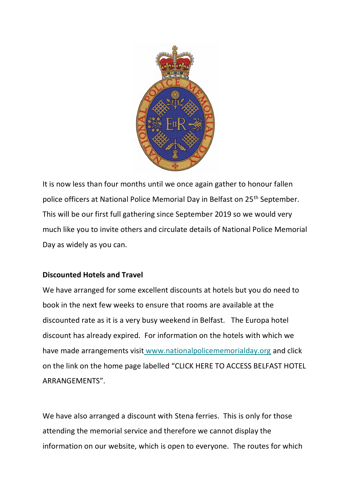

It is now less than four months until we once again gather to honour fallen police officers at National Police Memorial Day in Belfast on 25<sup>th</sup> September. This will be our first full gathering since September 2019 so we would very much like you to invite others and circulate details of National Police Memorial Day as widely as you can.

## **Discounted Hotels and Travel**

We have arranged for some excellent discounts at hotels but you do need to book in the next few weeks to ensure that rooms are available at the discounted rate as it is a very busy weekend in Belfast. The Europa hotel discount has already expired. For information on the hotels with which we have made arrangements visi[t](http://www.nationalpolicememorialday.org/) [www.nationalpolicememorialday.org](http://www.nationalpolicememorialday.org/) and click on the link on the home page labelled "CLICK HERE TO ACCESS BELFAST HOTEL ARRANGEMENTS".

We have also arranged a discount with Stena ferries. This is only for those attending the memorial service and therefore we cannot display the information on our website, which is open to everyone. The routes for which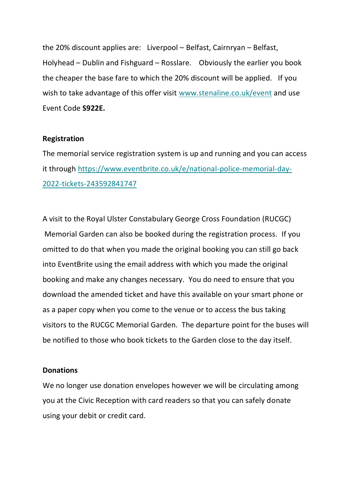the 20% discount applies are: Liverpool – Belfast, Cairnryan – Belfast, Holyhead – Dublin and Fishguard – Rosslare. Obviously the earlier you book the cheaper the base fare to which the 20% discount will be applied. If you wish to take advantage of this offer visit [www.stenaline.co.uk/event](https://gbr01.safelinks.protection.outlook.com/?url=http%3A%2F%2Fwww.stenaline.co.uk%2Fevent&data=05%7C01%7C%7Ce996390ab54f469b7d5b08da42ecf4c1%7Cf6d79420e26a471dbaf15dbd9fe9faf3%7C0%7C0%7C637895882739627840%7CUnknown%7CTWFpbGZsb3d8eyJWIjoiMC4wLjAwMDAiLCJQIjoiV2luMzIiLCJBTiI6Ik1haWwiLCJXVCI6Mn0%3D%7C3000%7C%7C%7C&sdata=vl%2BxCNgJt1tD8lZeIE1tNFLWpymjNbnMgfqXqADuVdI%3D&reserved=0) and use Event Code **S922E.**

## **Registration**

The memorial service registration system is up and running and you can access it through [https://www.eventbrite.co.uk/e/national-police-memorial-day-](https://www.eventbrite.co.uk/e/national-police-memorial-day-2022-tickets-243592841747)[2022-tickets-243592841747](https://www.eventbrite.co.uk/e/national-police-memorial-day-2022-tickets-243592841747)

A visit to the Royal Ulster Constabulary George Cross Foundation (RUCGC) Memorial Garden can also be booked during the registration process. If you omitted to do that when you made the original booking you can still go back into EventBrite using the email address with which you made the original booking and make any changes necessary. You do need to ensure that you download the amended ticket and have this available on your smart phone or as a paper copy when you come to the venue or to access the bus taking visitors to the RUCGC Memorial Garden. The departure point for the buses will be notified to those who book tickets to the Garden close to the day itself.

## **Donations**

We no longer use donation envelopes however we will be circulating among you at the Civic Reception with card readers so that you can safely donate using your debit or credit card.